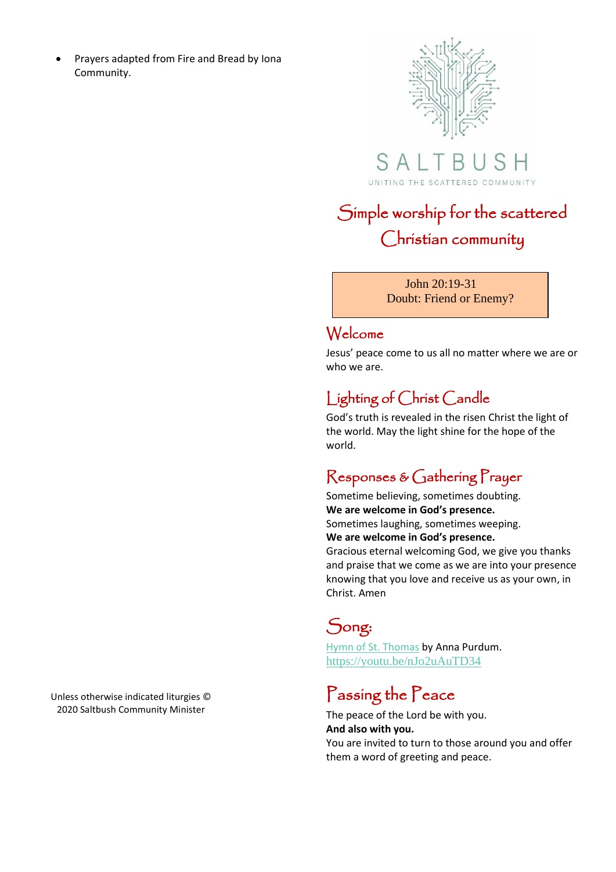• Prayers adapted from Fire and Bread by Iona Community.





# Simple worship for the scattered Christian community

 John 20:19-31 Doubt: Friend or Enemy?

### Welcome

Jesus' peace come to us all no matter where we are or who we are.

### Lighting of Christ Candle

God's truth is revealed in the risen Christ the light of the world. May the light shine for the hope of the world.

### Responses & Gathering Prayer

Sometime believing, sometimes doubting. **We are welcome in God's presence.** Sometimes laughing, sometimes weeping. **We are welcome in God's presence.**

Gracious eternal welcoming God, we give you thanks and praise that we come as we are into your presence knowing that you love and receive us as your own, in Christ. Amen

# Song:

[Hymn of St. Thomas](https://youtu.be/nJo2uAuTD34) by Anna Purdum. [https://youtu.be/nJo2uAuTD34](https://protect-au.mimecast.com/s/A1PCC81ZkqiG2MZFn5isw?domain=youtu.be)

# Passing the Peace

The peace of the Lord be with you. **And also with you.** You are invited to turn to those around you and offer them a word of greeting and peace.

Unless otherwise indicated liturgies © 2020 Saltbush Community Minister